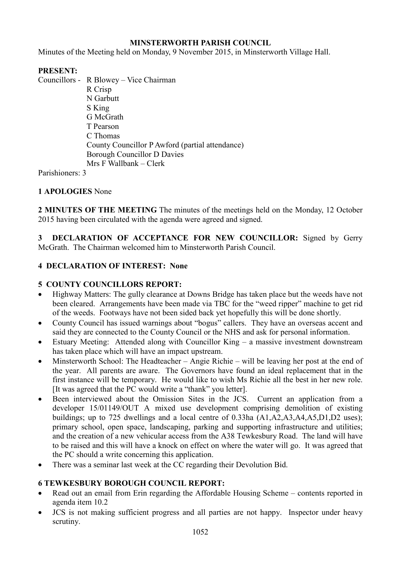# **MINSTERWORTH PARISH COUNCIL**

Minutes of the Meeting held on Monday, 9 November 2015, in Minsterworth Village Hall.

# **PRESENT:**

Councillors - R Blowey – Vice Chairman

 R Crisp N Garbutt S King G McGrath T Pearson C Thomas County Councillor P Awford (partial attendance) Borough Councillor D Davies Mrs F Wallbank – Clerk

Parishioners: 3

# **1 APOLOGIES** None

**2 MINUTES OF THE MEETING** The minutes of the meetings held on the Monday, 12 October 2015 having been circulated with the agenda were agreed and signed.

**3 DECLARATION OF ACCEPTANCE FOR NEW COUNCILLOR:** Signed by Gerry McGrath. The Chairman welcomed him to Minsterworth Parish Council.

# **4 DECLARATION OF INTEREST: None**

## **5 COUNTY COUNCILLORS REPORT:**

- Highway Matters: The gully clearance at Downs Bridge has taken place but the weeds have not been cleared. Arrangements have been made via TBC for the "weed ripper" machine to get rid of the weeds. Footways have not been sided back yet hopefully this will be done shortly.
- County Council has issued warnings about "bogus" callers. They have an overseas accent and said they are connected to the County Council or the NHS and ask for personal information.
- Estuary Meeting: Attended along with Councillor King a massive investment downstream has taken place which will have an impact upstream.
- Minsterworth School: The Headteacher Angie Richie will be leaving her post at the end of the year. All parents are aware. The Governors have found an ideal replacement that in the first instance will be temporary. He would like to wish Ms Richie all the best in her new role. [It was agreed that the PC would write a "thank" you letter].
- Been interviewed about the Omission Sites in the JCS. Current an application from a developer 15/01149/OUT A mixed use development comprising demolition of existing buildings; up to 725 dwellings and a local centre of 0.33ha (A1,A2,A3,A4,A5,D1,D2 uses); primary school, open space, landscaping, parking and supporting infrastructure and utilities; and the creation of a new vehicular access from the A38 Tewkesbury Road. The land will have to be raised and this will have a knock on effect on where the water will go. It was agreed that the PC should a write concerning this application.
- There was a seminar last week at the CC regarding their Devolution Bid.

# **6 TEWKESBURY BOROUGH COUNCIL REPORT:**

- Read out an email from Erin regarding the Affordable Housing Scheme contents reported in agenda item 10.2
- JCS is not making sufficient progress and all parties are not happy. Inspector under heavy scrutiny.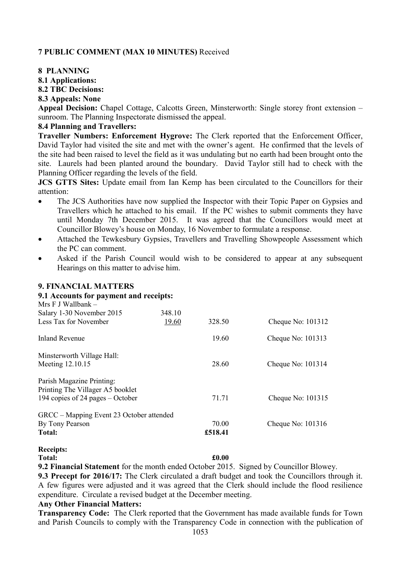# **7 PUBLIC COMMENT (MAX 10 MINUTES)** Received

## **8 PLANNING**

# **8.1 Applications:**

#### **8.2 TBC Decisions:**

#### **8.3 Appeals: None**

**Appeal Decision:** Chapel Cottage, Calcotts Green, Minsterworth: Single storey front extension – sunroom. The Planning Inspectorate dismissed the appeal.

## **8.4 Planning and Travellers:**

**Traveller Numbers: Enforcement Hygrove:** The Clerk reported that the Enforcement Officer, David Taylor had visited the site and met with the owner's agent. He confirmed that the levels of the site had been raised to level the field as it was undulating but no earth had been brought onto the site. Laurels had been planted around the boundary. David Taylor still had to check with the Planning Officer regarding the levels of the field.

**JCS GTTS Sites:** Update email from Ian Kemp has been circulated to the Councillors for their attention:

- The JCS Authorities have now supplied the Inspector with their Topic Paper on Gypsies and Travellers which he attached to his email. If the PC wishes to submit comments they have until Monday 7th December 2015. It was agreed that the Councillors would meet at Councillor Blowey's house on Monday, 16 November to formulate a response.
- Attached the Tewkesbury Gypsies, Travellers and Travelling Showpeople Assessment which the PC can comment.
- Asked if the Parish Council would wish to be considered to appear at any subsequent Hearings on this matter to advise him.

| 348.10                                   |         |                   |
|------------------------------------------|---------|-------------------|
| 19.60                                    | 328.50  | Cheque No: 101312 |
|                                          | 19.60   | Cheque No: 101313 |
|                                          |         |                   |
|                                          | 28.60   | Cheque No: 101314 |
|                                          |         |                   |
|                                          |         |                   |
|                                          | 71.71   | Cheque No: 101315 |
| GRCC – Mapping Event 23 October attended |         |                   |
|                                          | 70.00   | Cheque No: 101316 |
|                                          | £518.41 |                   |
|                                          |         |                   |

## **9. FINANCIAL MATTERS**

**9.1 Accounts for payment and receipts:** 

# **Receipts:**

**Total: £0.00 9.2 Financial Statement** for the month ended October 2015. Signed by Councillor Blowey.

**9.3 Precept for 2016/17:** The Clerk circulated a draft budget and took the Councillors through it. A few figures were adjusted and it was agreed that the Clerk should include the flood resilience expenditure. Circulate a revised budget at the December meeting.

#### **Any Other Financial Matters:**

**Transparency Code:** The Clerk reported that the Government has made available funds for Town and Parish Councils to comply with the Transparency Code in connection with the publication of